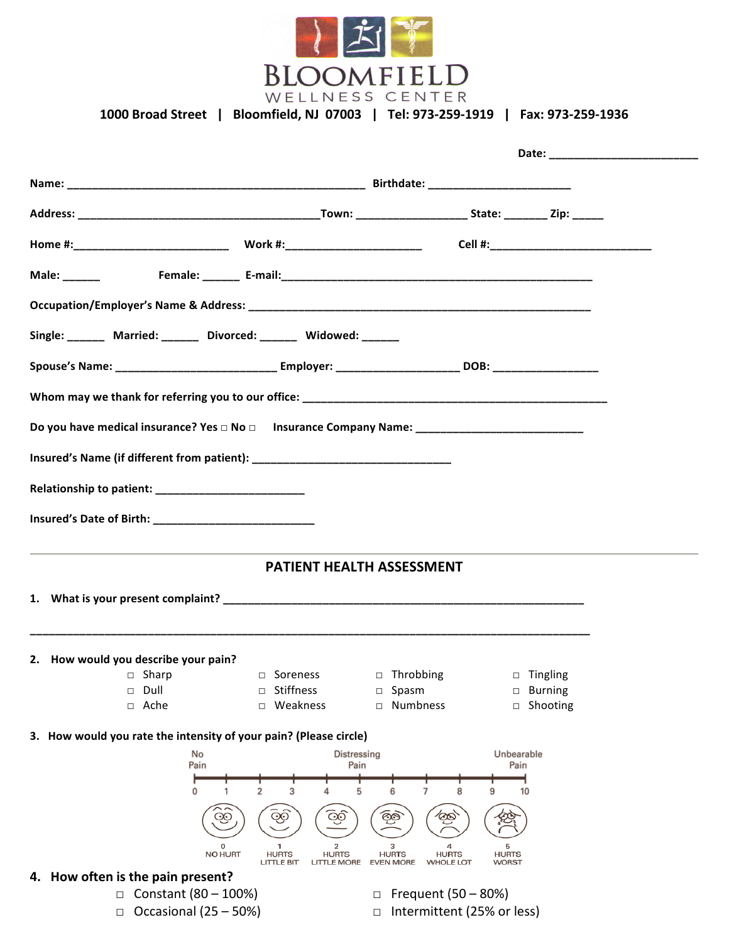

1000 Broad Street | Bloomfield, NJ 07003 | Tel: 973-259-1919 | Fax: 973-259-1936

| Home #:____________________________  Work #:_______________________    Cell #:___________________________ |                                                                              |                                                                           |                                   |  |  |  |  |  |
|-----------------------------------------------------------------------------------------------------------|------------------------------------------------------------------------------|---------------------------------------------------------------------------|-----------------------------------|--|--|--|--|--|
|                                                                                                           |                                                                              |                                                                           |                                   |  |  |  |  |  |
|                                                                                                           |                                                                              |                                                                           |                                   |  |  |  |  |  |
| Single: Married: _____ Divorced: _____ Widowed: _____                                                     |                                                                              |                                                                           |                                   |  |  |  |  |  |
|                                                                                                           |                                                                              |                                                                           |                                   |  |  |  |  |  |
|                                                                                                           |                                                                              |                                                                           |                                   |  |  |  |  |  |
| Do you have medical insurance? Yes □ No □ Insurance Company Name: _________________________________       |                                                                              |                                                                           |                                   |  |  |  |  |  |
|                                                                                                           |                                                                              |                                                                           |                                   |  |  |  |  |  |
|                                                                                                           |                                                                              |                                                                           |                                   |  |  |  |  |  |
|                                                                                                           |                                                                              |                                                                           |                                   |  |  |  |  |  |
|                                                                                                           |                                                                              |                                                                           |                                   |  |  |  |  |  |
|                                                                                                           | <b>PATIENT HEALTH ASSESSMENT</b>                                             |                                                                           |                                   |  |  |  |  |  |
|                                                                                                           |                                                                              |                                                                           |                                   |  |  |  |  |  |
|                                                                                                           |                                                                              |                                                                           |                                   |  |  |  |  |  |
| 2. How would you describe your pain?<br>□ Sharp                                                           | Soreness<br>$\Box$                                                           | Throbbing<br>$\Box$                                                       | Tingling<br>$\Box$                |  |  |  |  |  |
| Dull<br>$\Box$                                                                                            | Stiffness<br>$\Box$                                                          | Spasm<br>$\Box$                                                           | <b>Burning</b><br>□               |  |  |  |  |  |
| Ache<br>$\Box$                                                                                            | □ Weakness                                                                   | <b>Numbness</b><br>$\Box$                                                 | Shooting<br>$\Box$                |  |  |  |  |  |
| 3. How would you rate the intensity of your pain? (Please circle)                                         |                                                                              |                                                                           |                                   |  |  |  |  |  |
| No<br>Pain                                                                                                | Distressing<br>Pain                                                          |                                                                           | Unbearable<br>Pain                |  |  |  |  |  |
|                                                                                                           |                                                                              |                                                                           |                                   |  |  |  |  |  |
| 0                                                                                                         | 2<br>3<br>5                                                                  | 8<br>9                                                                    | 10                                |  |  |  |  |  |
| ক্ত                                                                                                       | GÒ<br>ලට                                                                     | ලා<br>ඏ                                                                   |                                   |  |  |  |  |  |
| 0<br><b>NO HURT</b>                                                                                       | 2<br><b>HURTS</b><br><b>HURTS</b><br><b>LITTLE BIT</b><br><b>LITTLE MORE</b> | з<br><b>HURTS</b><br><b>HURTS</b><br><b>EVEN MORE</b><br><b>WHOLE LOT</b> | 5<br><b>HURTS</b><br><b>WORST</b> |  |  |  |  |  |
| 4. How often is the pain present?                                                                         |                                                                              |                                                                           |                                   |  |  |  |  |  |
| Constant (80 - 100%)<br>$\Box$                                                                            |                                                                              | Frequent (50 – 80%)<br>$\Box$                                             |                                   |  |  |  |  |  |
| Occasional (25 - 50%)<br>Intermittent (25% or less)<br>$\Box$<br>□                                        |                                                                              |                                                                           |                                   |  |  |  |  |  |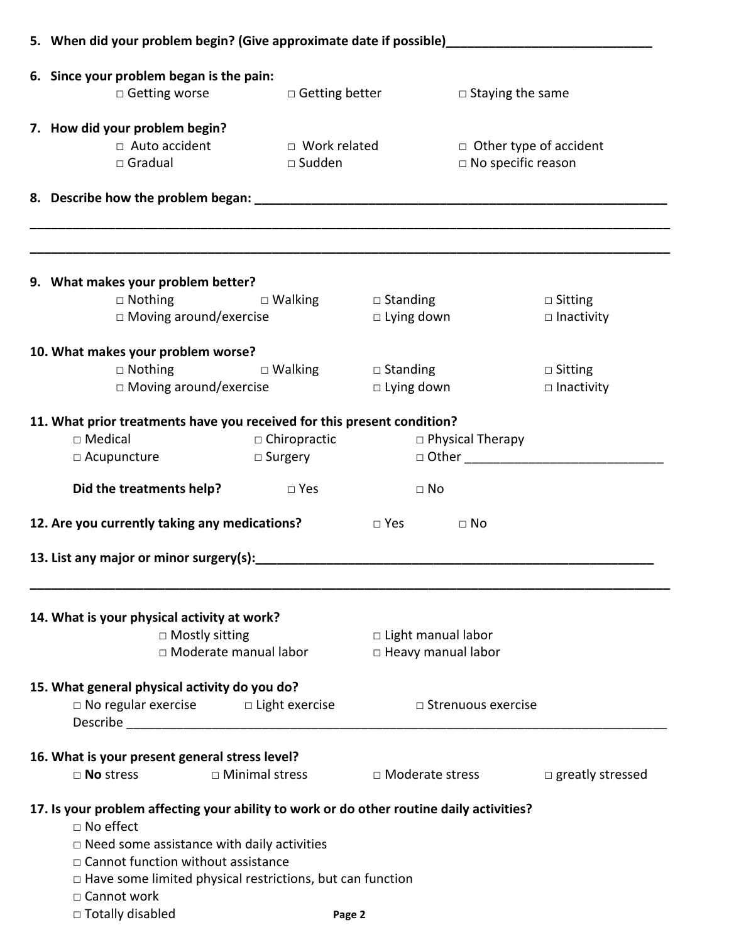| 5. When did your problem begin? (Give approximate date if possible)_________________________________                                                                                                                                                                                                                           |                                       |                                                        |                               |                                     |  |
|--------------------------------------------------------------------------------------------------------------------------------------------------------------------------------------------------------------------------------------------------------------------------------------------------------------------------------|---------------------------------------|--------------------------------------------------------|-------------------------------|-------------------------------------|--|
| 6. Since your problem began is the pain:                                                                                                                                                                                                                                                                                       |                                       |                                                        |                               |                                     |  |
| □ Getting worse Detting better                                                                                                                                                                                                                                                                                                 |                                       |                                                        | $\Box$ Staying the same       |                                     |  |
| 7. How did your problem begin?                                                                                                                                                                                                                                                                                                 |                                       |                                                        |                               |                                     |  |
| $\Box$ Auto accident                                                                                                                                                                                                                                                                                                           | $\Box$ Work related                   |                                                        | $\Box$ Other type of accident |                                     |  |
| $\Box$ Gradual                                                                                                                                                                                                                                                                                                                 | $\square$ Sudden                      |                                                        | $\Box$ No specific reason     |                                     |  |
|                                                                                                                                                                                                                                                                                                                                |                                       |                                                        |                               |                                     |  |
| 9. What makes your problem better?                                                                                                                                                                                                                                                                                             |                                       |                                                        |                               |                                     |  |
| □ Nothing Devalking Development Development Development Development Development Development Development Development D<br>$\Box$ Moving around/exercise                                                                                                                                                                         |                                       | $\Box$ Lying down                                      |                               | $\Box$ Sitting<br>$\Box$ Inactivity |  |
|                                                                                                                                                                                                                                                                                                                                |                                       |                                                        |                               |                                     |  |
| 10. What makes your problem worse?                                                                                                                                                                                                                                                                                             |                                       |                                                        |                               |                                     |  |
| $\Box$ Nothing                                                                                                                                                                                                                                                                                                                 |                                       | $\Box$ Walking $\Box$ Standing                         |                               | $\Box$ Sitting                      |  |
| $\Box$ Moving around/exercise                                                                                                                                                                                                                                                                                                  |                                       | $\Box$ Lying down                                      |                               | $\square$ Inactivity                |  |
| 11. What prior treatments have you received for this present condition?<br>$\Box$ Medical<br>$\Box$ Acupuncture<br><b>Did the treatments help?</b> $\Box$ Yes                                                                                                                                                                  | $\Box$ Chiropractic<br>$\Box$ Surgery | $\Box$ No                                              | □ Physical Therapy            |                                     |  |
| 12. Are you currently taking any medications?                                                                                                                                                                                                                                                                                  |                                       | $\square$ Yes                                          | $\Box$ No                     |                                     |  |
| 13. List any major or minor surgery(s):                                                                                                                                                                                                                                                                                        |                                       |                                                        |                               |                                     |  |
| 14. What is your physical activity at work?<br>$\Box$ Mostly sitting<br>$\Box$ Moderate manual labor                                                                                                                                                                                                                           |                                       | $\Box$ Light manual labor<br>$\Box$ Heavy manual labor |                               |                                     |  |
| 15. What general physical activity do you do?<br>$\Box$ No regular exercise $\Box$ Light exercise                                                                                                                                                                                                                              |                                       |                                                        | □ Strenuous exercise          |                                     |  |
| 16. What is your present general stress level?<br>$\Box$ No stress                                                                                                                                                                                                                                                             | $\Box$ Minimal stress                 | □ Moderate stress                                      |                               | $\Box$ greatly stressed             |  |
| 17. Is your problem affecting your ability to work or do other routine daily activities?<br>$\Box$ No effect<br>$\Box$ Need some assistance with daily activities<br>□ Cannot function without assistance<br>$\Box$ Have some limited physical restrictions, but can function<br>$\Box$ Cannot work<br>$\Box$ Totally disabled |                                       | Page 2                                                 |                               |                                     |  |